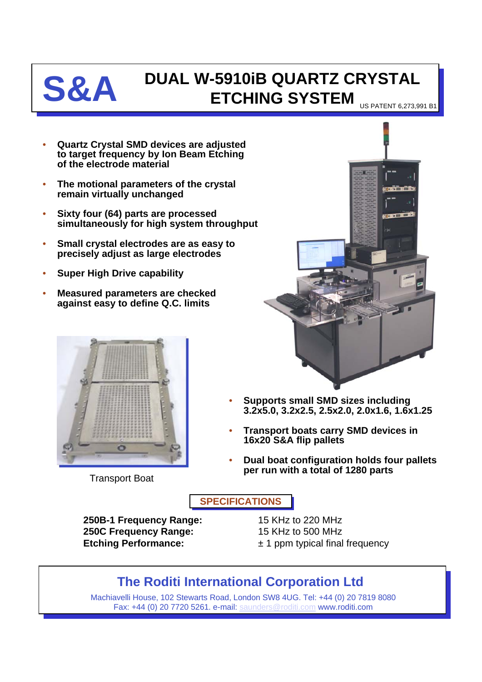

## **S&A DUAL W-5910iB QUARTZ CRYSTAL ETCHING SYSTEM** US PATENT 6,273,991 B

- **Quartz Crystal SMD devices are adjusted to target frequency by Ion Beam Etching of the electrode material**
- **The motional parameters of the crystal remain virtually unchanged**
- **Sixty four (64) parts are processed simultaneously for high system throughput**
- **Small crystal electrodes are as easy to precisely adjust as large electrodes**
- **Super High Drive capability**
- **Measured parameters are checked against easy to define Q.C. limits**



Transport Boat



- **Supports small SMD sizes including 3.2x5.0, 3.2x2.5, 2.5x2.0, 2.0x1.6, 1.6x1.25**
- **Transport boats carry SMD devices in 16x20 S&A flip pallets**
- **Dual boat configuration holds four pallets per run with a total of 1280 parts**

**SPECIFICATIONS**

**250B-1 Frequency Range:** 15 KHz to 220 MHz **250C Frequency Range:** 15 KHz to 500 MHz **Etching Performance:**  $\pm 1$  ppm typical final frequency

## **The Roditi International Corporation Ltd**

Machiavelli House, 102 Stewarts Road, London SW8 4UG. Tel: +44 (0) 20 7819 8080 Fax: +44 (0) 20 7720 5261. e-mail: [saunders@roditi.com](mailto:saunders@roditi.com) www.roditi.com